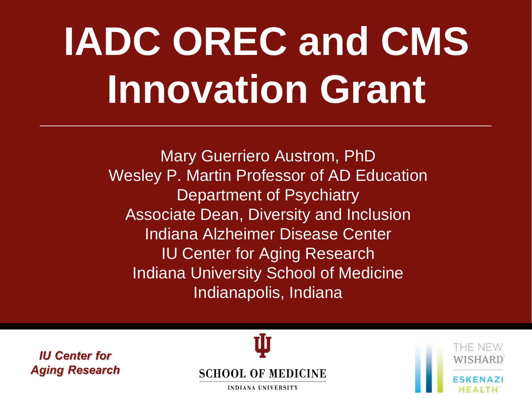# **IADC OREC and CMS Innovation Grant**

Mary Guerriero Austrom, PhD Wesley P. Martin Professor of AD Education Department of Psychiatry Associate Dean, Diversity and Inclusion Indiana Alzheimer Disease Center IU Center for Aging Research Indiana University School of Medicine Indianapolis, Indiana

**IU Center for Aging Research** 



HE NEW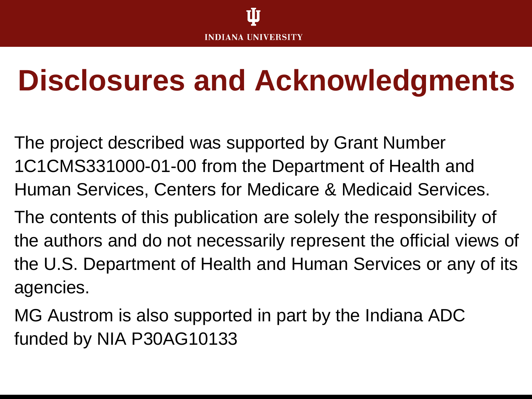### **Disclosures and Acknowledgments**

The project described was supported by Grant Number 1C1CMS331000-01-00 from the Department of Health and Human Services, Centers for Medicare & Medicaid Services.

The contents of this publication are solely the responsibility of the authors and do not necessarily represent the official views of the U.S. Department of Health and Human Services or any of its agencies.

MG Austrom is also supported in part by the Indiana ADC funded by NIA P30AG10133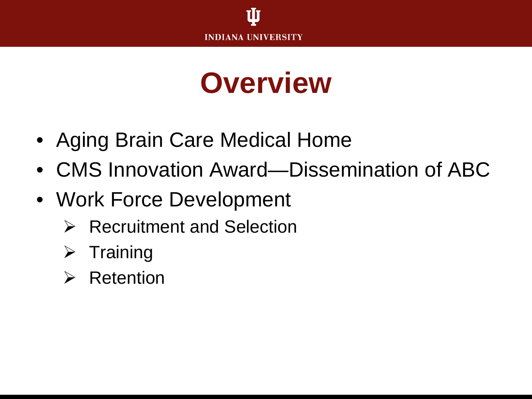

#### **Overview**

- Aging Brain Care Medical Home
- CMS Innovation Award—Dissemination of ABC
- Work Force Development
	- $\triangleright$  Recruitment and Selection
	- $\triangleright$  Training
	- $\triangleright$  Retention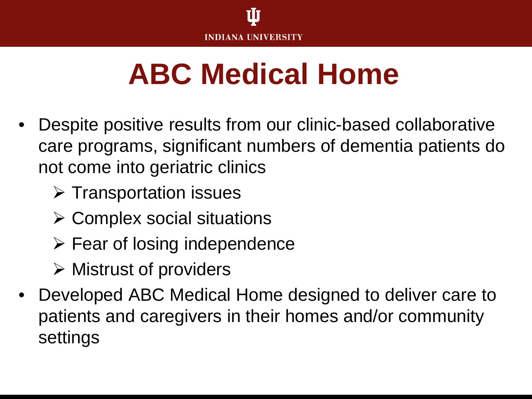

### **ABC Medical Home**

- Despite positive results from our clinic-based collaborative care programs, significant numbers of dementia patients do not come into geriatric clinics
	- $\triangleright$  Transportation issues
	- $\triangleright$  Complex social situations
	- $\triangleright$  Fear of losing independence
	- $\triangleright$  Mistrust of providers
- Developed ABC Medical Home designed to deliver care to patients and caregivers in their homes and/or community settings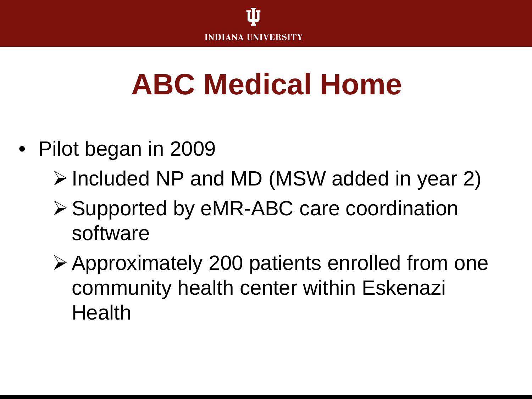

## **ABC Medical Home**

- Pilot began in 2009
	- Included NP and MD (MSW added in year 2)
	- **≻ Supported by eMR-ABC care coordination** software
	- Approximately 200 patients enrolled from one community health center within Eskenazi **Health**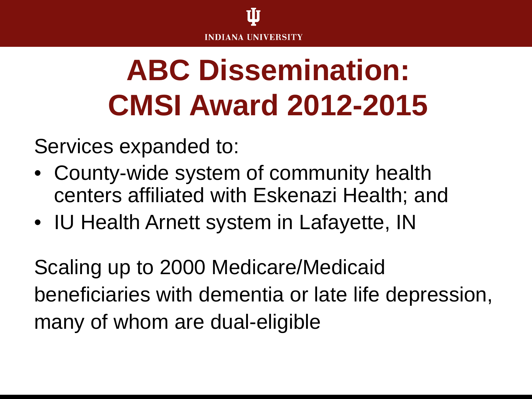

# **ABC Dissemination: CMSI Award 2012-2015**

Services expanded to:

- County-wide system of community health centers affiliated with Eskenazi Health; and
- IU Health Arnett system in Lafayette, IN

Scaling up to 2000 Medicare/Medicaid beneficiaries with dementia or late life depression, many of whom are dual-eligible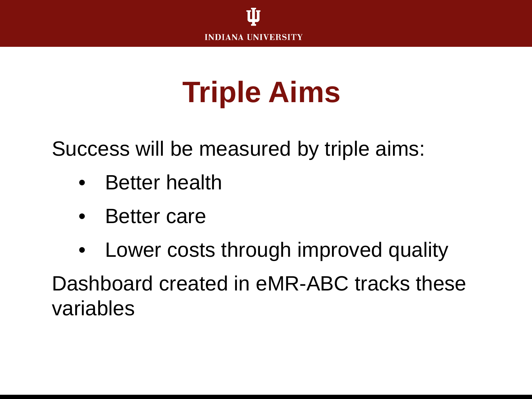

## **Triple Aims**

Success will be measured by triple aims:

- Better health
- Better care
- Lower costs through improved quality Dashboard created in eMR-ABC tracks these variables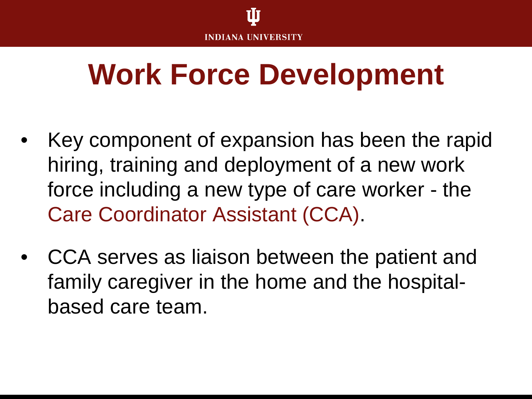

#### **Work Force Development**

- Key component of expansion has been the rapid hiring, training and deployment of a new work force including a new type of care worker - the Care Coordinator Assistant (CCA).
- CCA serves as liaison between the patient and family caregiver in the home and the hospitalbased care team.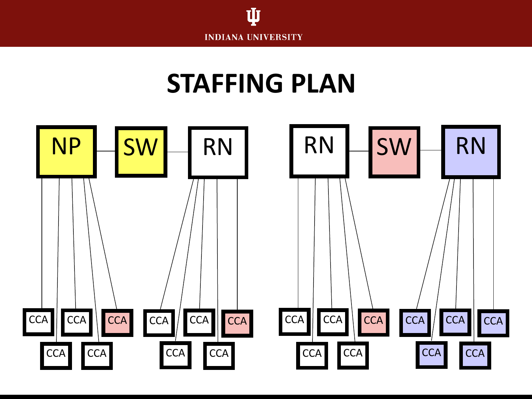

#### **STAFFING PLAN**

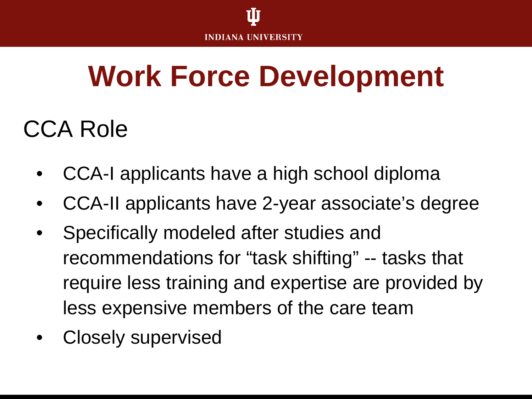

### **Work Force Development**

#### CCA Role

- CCA-I applicants have a high school diploma
- CCA-II applicants have 2-year associate's degree
- Specifically modeled after studies and recommendations for "task shifting" -- tasks that require less training and expertise are provided by less expensive members of the care team
- Closely supervised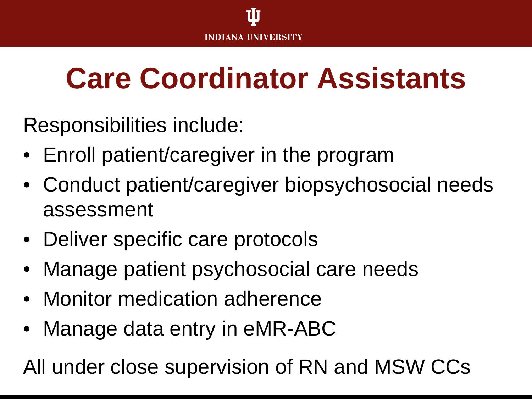# **Care Coordinator Assistants**

Responsibilities include:

- Enroll patient/caregiver in the program
- Conduct patient/caregiver biopsychosocial needs assessment
- Deliver specific care protocols
- Manage patient psychosocial care needs
- Monitor medication adherence
- Manage data entry in eMR-ABC

All under close supervision of RN and MSW CCs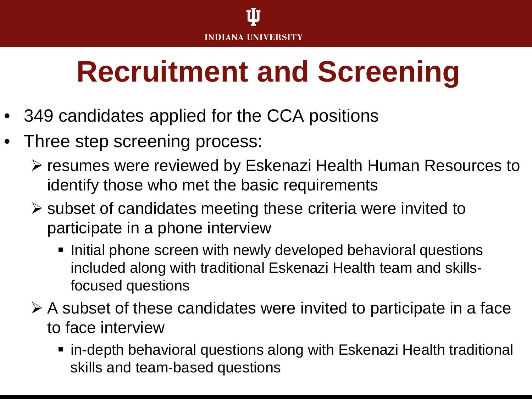# **Recruitment and Screening**

- 349 candidates applied for the CCA positions
- Three step screening process:
	- resumes were reviewed by Eskenazi Health Human Resources to identify those who met the basic requirements
	- $\triangleright$  subset of candidates meeting these criteria were invited to participate in a phone interview
		- **Initial phone screen with newly developed behavioral questions** included along with traditional Eskenazi Health team and skillsfocused questions
	- $\triangleright$  A subset of these candidates were invited to participate in a face to face interview
		- in-depth behavioral questions along with Eskenazi Health traditional skills and team-based questions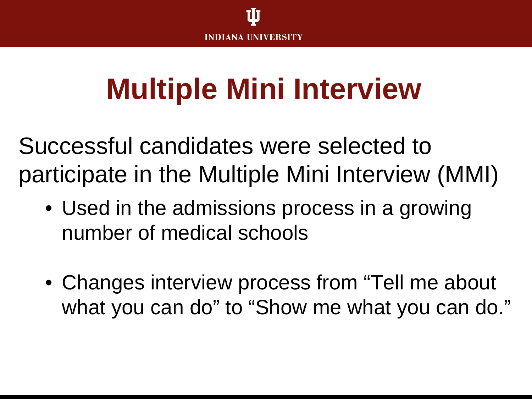

### **Multiple Mini Interview**

Successful candidates were selected to participate in the Multiple Mini Interview (MMI)

- Used in the admissions process in a growing number of medical schools
- Changes interview process from "Tell me about what you can do" to "Show me what you can do."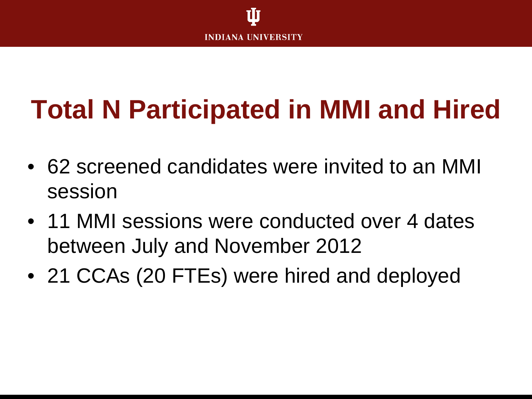

#### **Total N Participated in MMI and Hired**

- 62 screened candidates were invited to an MMI session
- 11 MMI sessions were conducted over 4 dates between July and November 2012
- 21 CCAs (20 FTEs) were hired and deployed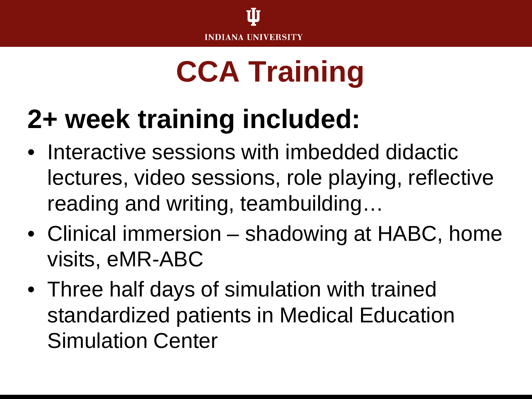

# **CCA Training**

#### **2+ week training included:**

- Interactive sessions with imbedded didactic lectures, video sessions, role playing, reflective reading and writing, teambuilding…
- Clinical immersion shadowing at HABC, home visits, eMR-ABC
- Three half days of simulation with trained standardized patients in Medical Education Simulation Center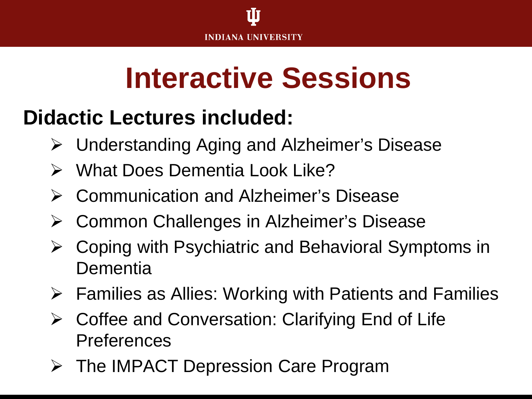

#### **Didactic Lectures included:**

- Understanding Aging and Alzheimer's Disease
- What Does Dementia Look Like?
- Communication and Alzheimer's Disease
- Common Challenges in Alzheimer's Disease
- Coping with Psychiatric and Behavioral Symptoms in **Dementia**
- $\triangleright$  Families as Allies: Working with Patients and Families
- Coffee and Conversation: Clarifying End of Life Preferences
- **▶ The IMPACT Depression Care Program**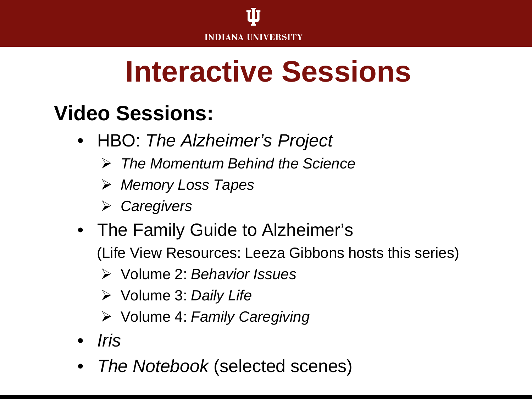

#### **Video Sessions:**

- HBO: *The Alzheimer's Project*
	- *The Momentum Behind the Science*
	- *Memory Loss Tapes*
	- *Caregivers*
- The Family Guide to Alzheimer's (Life View Resources: Leeza Gibbons hosts this series)
	- Volume 2: *Behavior Issues*
	- Volume 3: *Daily Life*
	- Volume 4: *Family Caregiving*
- *Iris*
- *The Notebook* (selected scenes)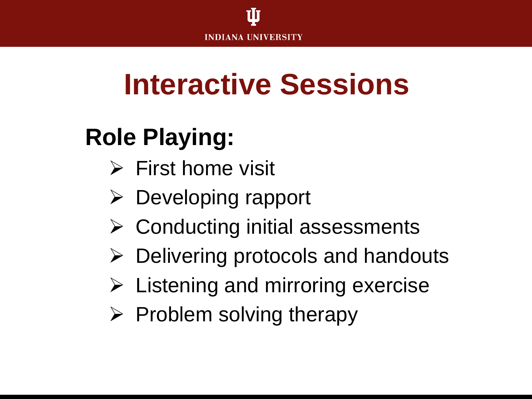

#### **Role Playing:**

- $\triangleright$  First home visit
- $\triangleright$  Developing rapport
- $\triangleright$  Conducting initial assessments
- $\triangleright$  Delivering protocols and handouts
- $\triangleright$  Listening and mirroring exercise
- $\triangleright$  Problem solving therapy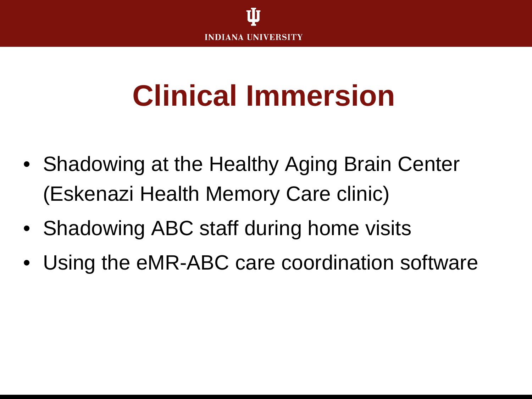

# **Clinical Immersion**

- Shadowing at the Healthy Aging Brain Center (Eskenazi Health Memory Care clinic)
- Shadowing ABC staff during home visits
- Using the eMR-ABC care coordination software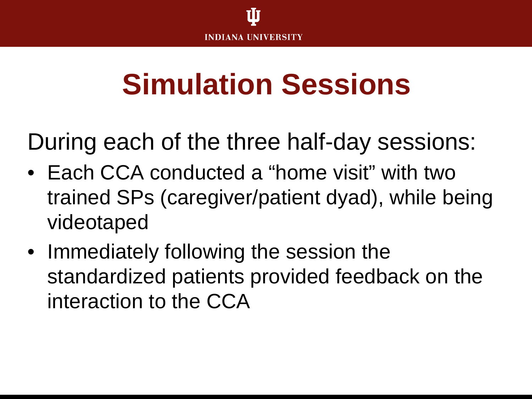

### **Simulation Sessions**

During each of the three half-day sessions:

- Each CCA conducted a "home visit" with two trained SPs (caregiver/patient dyad), while being videotaped
- Immediately following the session the standardized patients provided feedback on the interaction to the CCA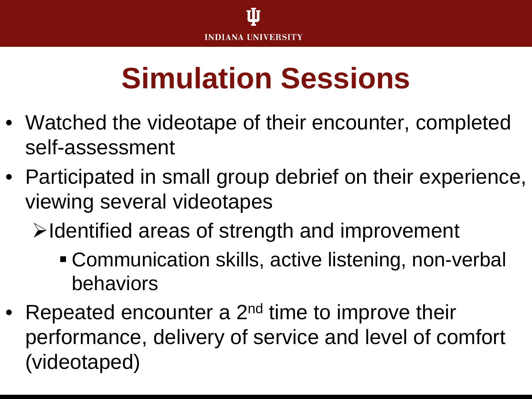# **Simulation Sessions**

- Watched the videotape of their encounter, completed self-assessment
- Participated in small group debrief on their experience, viewing several videotapes
	- $\triangleright$  Identified areas of strength and improvement
		- Communication skills, active listening, non-verbal behaviors
- Repeated encounter a  $2^{nd}$  time to improve their performance, delivery of service and level of comfort (videotaped)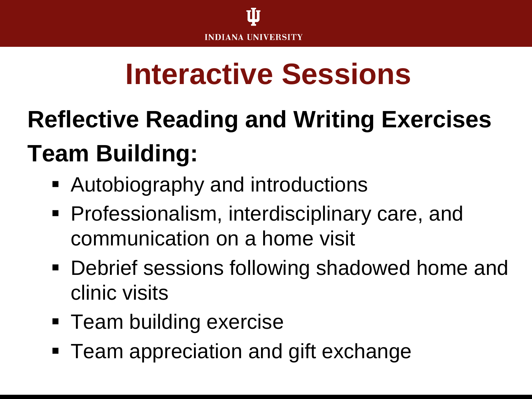### **Reflective Reading and Writing Exercises Team Building:**

- Autobiography and introductions
- **Professionalism, interdisciplinary care, and** communication on a home visit
- Debrief sessions following shadowed home and clinic visits
- **Team building exercise**
- Team appreciation and gift exchange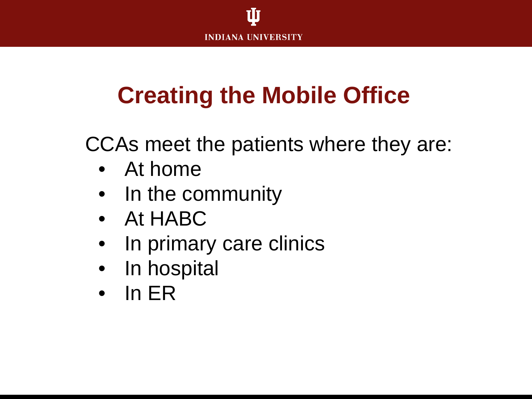

#### **Creating the Mobile Office**

CCAs meet the patients where they are:

- At home
- In the community
- At HABC
- In primary care clinics
- In hospital
- In ER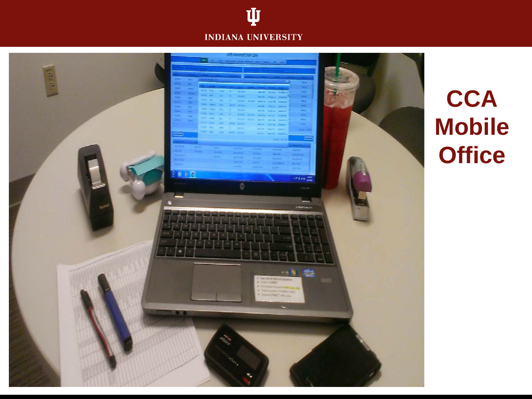



#### **CCA Mobile Office**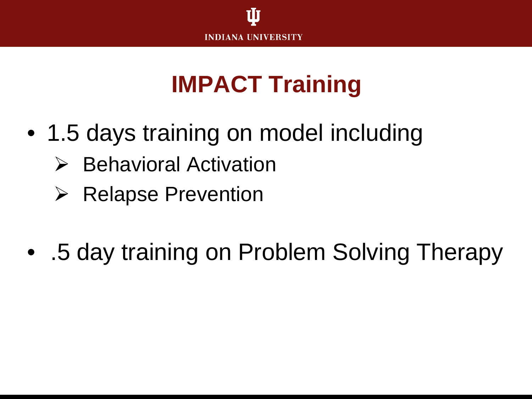

#### **IMPACT Training**

- 1.5 days training on model including
	- $\triangleright$  Behavioral Activation
	- $\triangleright$  Relapse Prevention
- .5 day training on Problem Solving Therapy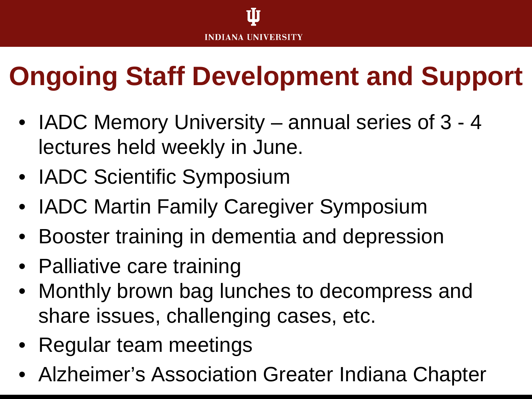#### **Ongoing Staff Development and Support**

- IADC Memory University annual series of 3 4 lectures held weekly in June.
- IADC Scientific Symposium
- IADC Martin Family Caregiver Symposium
- Booster training in dementia and depression
- Palliative care training
- Monthly brown bag lunches to decompress and share issues, challenging cases, etc.
- Regular team meetings
- Alzheimer's Association Greater Indiana Chapter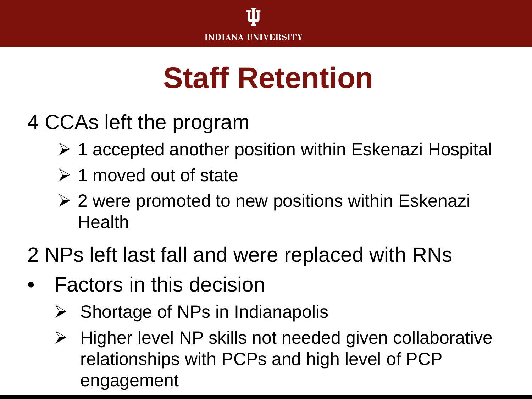

### **Staff Retention**

- 4 CCAs left the program
	- ▶ 1 accepted another position within Eskenazi Hospital
	- $\geq 1$  moved out of state
	- $\geq$  2 were promoted to new positions within Eskenazi **Health**
- 2 NPs left last fall and were replaced with RNs
- Factors in this decision
	- $\triangleright$  Shortage of NPs in Indianapolis
	- $\triangleright$  Higher level NP skills not needed given collaborative relationships with PCPs and high level of PCP engagement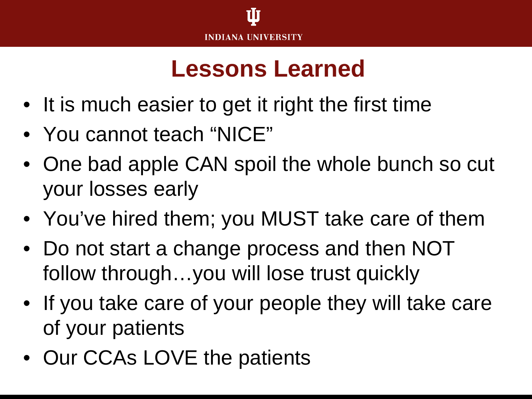#### **Lessons Learned**

- It is much easier to get it right the first time
- You cannot teach "NICE"
- One bad apple CAN spoil the whole bunch so cut your losses early
- You've hired them; you MUST take care of them
- Do not start a change process and then NOT follow through…you will lose trust quickly
- If you take care of your people they will take care of your patients
- Our CCAs LOVE the patients